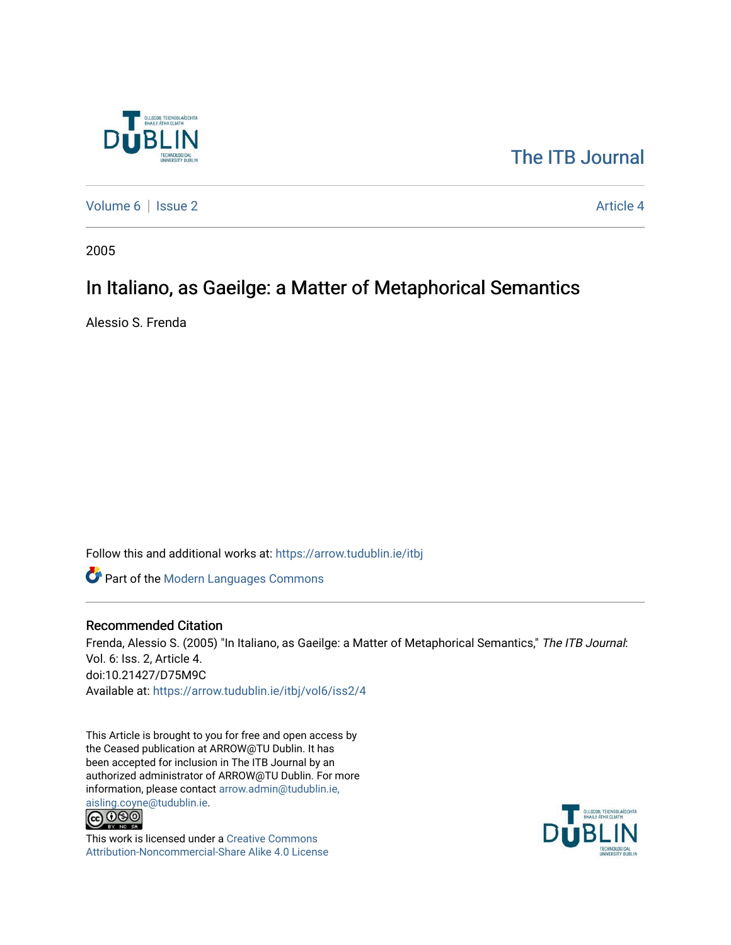

# [The ITB Journal](https://arrow.tudublin.ie/itbj)

[Volume 6](https://arrow.tudublin.ie/itbj/vol6) | [Issue 2](https://arrow.tudublin.ie/itbj/vol6/iss2) Article 4

2005

# In Italiano, as Gaeilge: a Matter of Metaphorical Semantics

Alessio S. Frenda

Follow this and additional works at: [https://arrow.tudublin.ie/itbj](https://arrow.tudublin.ie/itbj?utm_source=arrow.tudublin.ie%2Fitbj%2Fvol6%2Fiss2%2F4&utm_medium=PDF&utm_campaign=PDFCoverPages) 

Part of the [Modern Languages Commons](http://network.bepress.com/hgg/discipline/1130?utm_source=arrow.tudublin.ie%2Fitbj%2Fvol6%2Fiss2%2F4&utm_medium=PDF&utm_campaign=PDFCoverPages) 

#### Recommended Citation

Frenda, Alessio S. (2005) "In Italiano, as Gaeilge: a Matter of Metaphorical Semantics," The ITB Journal: Vol. 6: Iss. 2, Article 4. doi:10.21427/D75M9C Available at: [https://arrow.tudublin.ie/itbj/vol6/iss2/4](https://arrow.tudublin.ie/itbj/vol6/iss2/4?utm_source=arrow.tudublin.ie%2Fitbj%2Fvol6%2Fiss2%2F4&utm_medium=PDF&utm_campaign=PDFCoverPages) 

This Article is brought to you for free and open access by the Ceased publication at ARROW@TU Dublin. It has been accepted for inclusion in The ITB Journal by an authorized administrator of ARROW@TU Dublin. For more information, please contact [arrow.admin@tudublin.ie,](mailto:arrow.admin@tudublin.ie,%20aisling.coyne@tudublin.ie) 



This work is licensed under a [Creative Commons](http://creativecommons.org/licenses/by-nc-sa/4.0/) [Attribution-Noncommercial-Share Alike 4.0 License](http://creativecommons.org/licenses/by-nc-sa/4.0/)

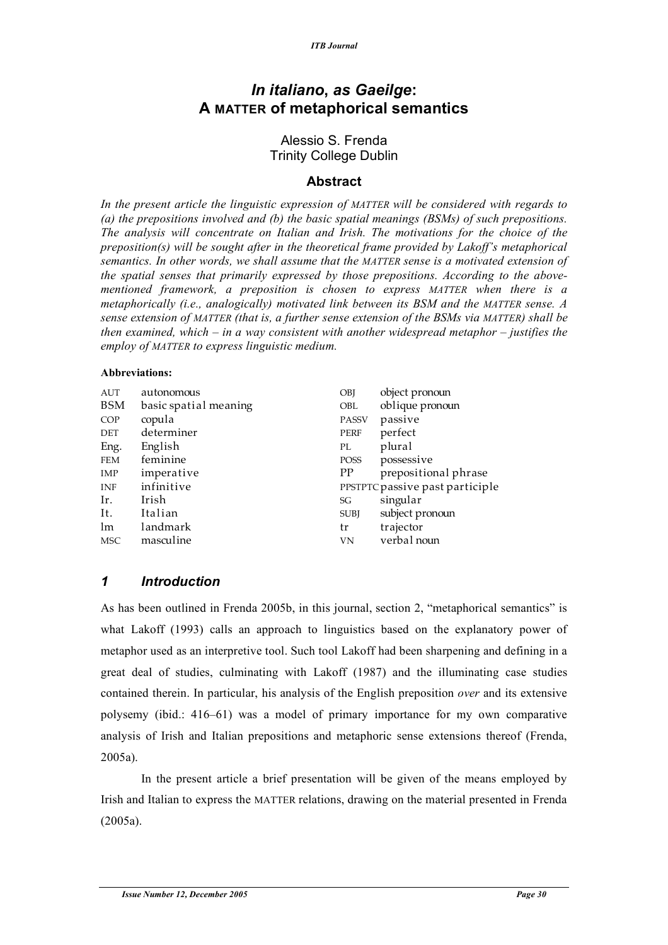## *In italiano***,** *as Gaeilge***: A MATTER of metaphorical semantics**

### Alessio S. Frenda Trinity College Dublin

### **Abstract**

*In the present article the linguistic expression of MATTER will be considered with regards to (a) the prepositions involved and (b) the basic spatial meanings (BSMs) of such prepositions. The analysis will concentrate on Italian and Irish. The motivations for the choice of the preposition(s) will be sought after in the theoretical frame provided by Lakoff's metaphorical semantics. In other words, we shall assume that the MATTER sense is a motivated extension of the spatial senses that primarily expressed by those prepositions. According to the abovementioned framework, a preposition is chosen to express MATTER when there is a metaphorically (i.e., analogically) motivated link between its BSM and the MATTER sense. A sense extension of MATTER (that is, a further sense extension of the BSMs via MATTER) shall be then examined, which – in a way consistent with another widespread metaphor – justifies the employ of MATTER to express linguistic medium.*

#### **Abbreviations:**

| AUT        | autonomous            | OBJ          | object pronoun                  |
|------------|-----------------------|--------------|---------------------------------|
| BSM        | basic spatial meaning | <b>OBL</b>   | oblique pronoun                 |
| COP        | copula                | <b>PASSV</b> | passive                         |
| DET        | determiner            | <b>PERF</b>  | perfect                         |
| Eng.       | English               | PL           | plural                          |
| <b>FEM</b> | feminine              | POSS         | possessive                      |
| IMP        | imperative            | <b>PP</b>    | prepositional phrase            |
| INF        | infinitive            |              | PPSTPTC passive past participle |
| Ir.        | Irish                 | SG           | singular                        |
| It.        | Italian               | <b>SUBI</b>  | subject pronoun                 |
| lm         | landmark              | tr           | trajector                       |
| <b>MSC</b> | masculine             | <b>VN</b>    | verbal noun                     |

## *1 Introduction*

As has been outlined in Frenda 2005b, in this journal, section 2, "metaphorical semantics" is what Lakoff (1993) calls an approach to linguistics based on the explanatory power of metaphor used as an interpretive tool. Such tool Lakoff had been sharpening and defining in a great deal of studies, culminating with Lakoff (1987) and the illuminating case studies contained therein. In particular, his analysis of the English preposition *over* and its extensive polysemy (ibid.: 416–61) was a model of primary importance for my own comparative analysis of Irish and Italian prepositions and metaphoric sense extensions thereof (Frenda, 2005a).

In the present article a brief presentation will be given of the means employed by Irish and Italian to express the MATTER relations, drawing on the material presented in Frenda (2005a).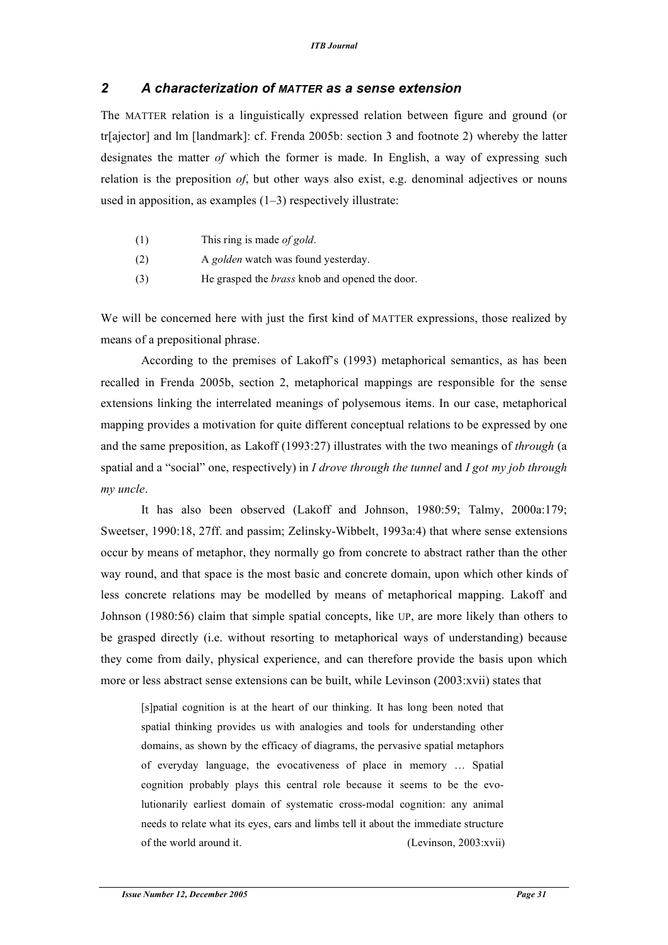### *2 A characterization of MATTER as a sense extension*

The MATTER relation is a linguistically expressed relation between figure and ground (or tr[ajector] and lm [landmark]: cf. Frenda 2005b: section 3 and footnote 2) whereby the latter designates the matter *of* which the former is made. In English, a way of expressing such relation is the preposition *of*, but other ways also exist, e.g. denominal adjectives or nouns used in apposition, as examples (1–3) respectively illustrate:

- (1) This ring is made *of gold*.
- (2) A *golden* watch was found yesterday.
- (3) He grasped the *brass* knob and opened the door.

We will be concerned here with just the first kind of MATTER expressions, those realized by means of a prepositional phrase.

According to the premises of Lakoff's (1993) metaphorical semantics, as has been recalled in Frenda 2005b, section 2, metaphorical mappings are responsible for the sense extensions linking the interrelated meanings of polysemous items. In our case, metaphorical mapping provides a motivation for quite different conceptual relations to be expressed by one and the same preposition, as Lakoff (1993:27) illustrates with the two meanings of *through* (a spatial and a "social" one, respectively) in *I drove through the tunnel* and *I got my job through my uncle*.

It has also been observed (Lakoff and Johnson, 1980:59; Talmy, 2000a:179; Sweetser, 1990:18, 27ff. and passim; Zelinsky-Wibbelt, 1993a:4) that where sense extensions occur by means of metaphor, they normally go from concrete to abstract rather than the other way round, and that space is the most basic and concrete domain, upon which other kinds of less concrete relations may be modelled by means of metaphorical mapping. Lakoff and Johnson (1980:56) claim that simple spatial concepts, like UP, are more likely than others to be grasped directly (i.e. without resorting to metaphorical ways of understanding) because they come from daily, physical experience, and can therefore provide the basis upon which more or less abstract sense extensions can be built, while Levinson (2003:xvii) states that

[s]patial cognition is at the heart of our thinking. It has long been noted that spatial thinking provides us with analogies and tools for understanding other domains, as shown by the efficacy of diagrams, the pervasive spatial metaphors of everyday language, the evocativeness of place in memory … Spatial cognition probably plays this central role because it seems to be the evolutionarily earliest domain of systematic cross-modal cognition: any animal needs to relate what its eyes, ears and limbs tell it about the immediate structure of the world around it. (Levinson, 2003:xvii)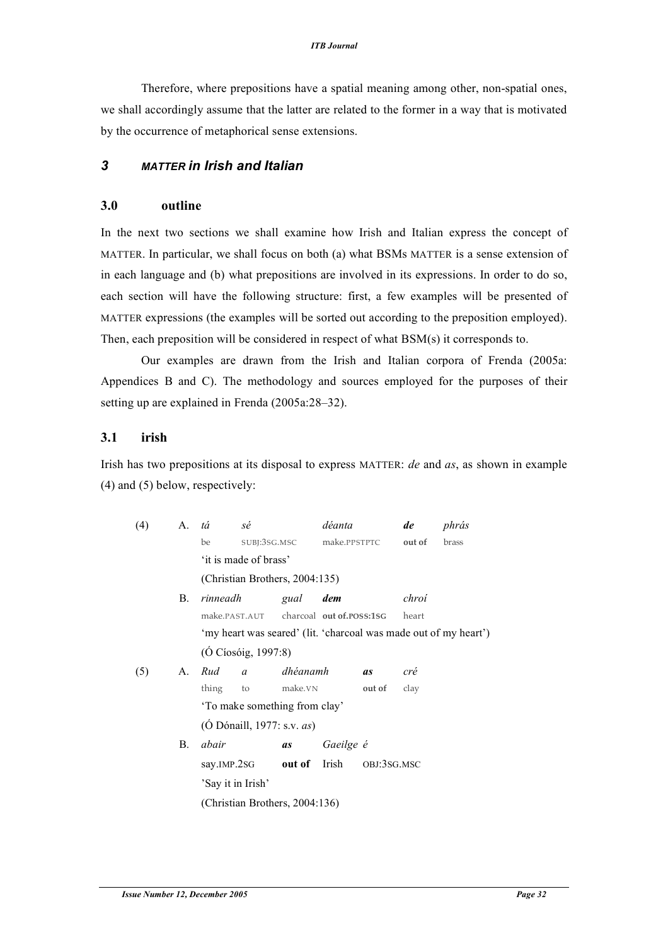Therefore, where prepositions have a spatial meaning among other, non-spatial ones, we shall accordingly assume that the latter are related to the former in a way that is motivated by the occurrence of metaphorical sense extensions.

#### *3 MATTER in Irish and Italian*

#### **3.0 outline**

In the next two sections we shall examine how Irish and Italian express the concept of MATTER. In particular, we shall focus on both (a) what BSMs MATTER is a sense extension of in each language and (b) what prepositions are involved in its expressions. In order to do so, each section will have the following structure: first, a few examples will be presented of MATTER expressions (the examples will be sorted out according to the preposition employed). Then, each preposition will be considered in respect of what BSM(s) it corresponds to.

Our examples are drawn from the Irish and Italian corpora of Frenda (2005a: Appendices B and C). The methodology and sources employed for the purposes of their setting up are explained in Frenda (2005a:28–32).

#### **3.1 irish**

Irish has two prepositions at its disposal to express MATTER: *de* and *as*, as shown in example (4) and (5) below, respectively:

| (4) | A.          | tá                                                               | sé |                          | déanta                    |             | de     | phrás |  |
|-----|-------------|------------------------------------------------------------------|----|--------------------------|---------------------------|-------------|--------|-------|--|
|     |             | be                                                               |    |                          | SUBJ:3SG.MSC make.PPSTPTC |             | out of | brass |  |
|     |             | 'it is made of brass'                                            |    |                          |                           |             |        |       |  |
|     |             | (Christian Brothers, 2004:135)                                   |    |                          |                           |             |        |       |  |
|     | В.          | rinneadh                                                         |    | gual                     | dem                       |             | chroí  |       |  |
|     |             | make.PAST.AUT charcoal out of.POSS:1SG                           |    |                          |                           |             | heart  |       |  |
|     |             | 'my heart was seared' (lit. 'charcoal was made out of my heart') |    |                          |                           |             |        |       |  |
|     |             | (Ó Cíosóig, 1997:8)                                              |    |                          |                           |             |        |       |  |
| (5) | $A_{\cdot}$ | Rud                                                              |    | a dhéanamh               |                           | <i>as</i>   | cré    |       |  |
|     |             | thing                                                            | to | make.VN                  |                           | out of      | clay   |       |  |
|     |             | 'To make something from clay'                                    |    |                          |                           |             |        |       |  |
|     |             | $(O$ Dónaill, 1977: s.v. $as)$                                   |    |                          |                           |             |        |       |  |
|     | В.          | abair                                                            |    | as                       | Gaeilge é                 |             |        |       |  |
|     |             |                                                                  |    | say.IMP.2SG out of Irish |                           | OBJ:3SG.MSC |        |       |  |
|     |             | 'Say it in Irish'                                                |    |                          |                           |             |        |       |  |
|     |             | (Christian Brothers, 2004:136)                                   |    |                          |                           |             |        |       |  |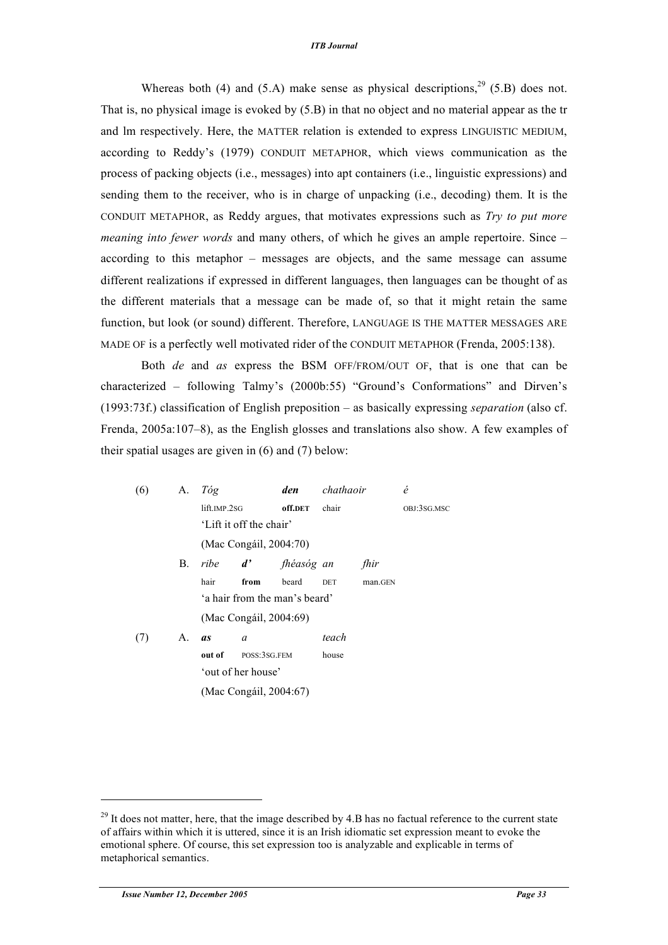#### *ITB Journal*

Whereas both (4) and (5.A) make sense as physical descriptions,  $^{29}$  (5.B) does not. That is, no physical image is evoked by (5.B) in that no object and no material appear as the tr and lm respectively. Here, the MATTER relation is extended to express LINGUISTIC MEDIUM, according to Reddy's (1979) CONDUIT METAPHOR, which views communication as the process of packing objects (i.e., messages) into apt containers (i.e., linguistic expressions) and sending them to the receiver, who is in charge of unpacking (i.e., decoding) them. It is the CONDUIT METAPHOR, as Reddy argues, that motivates expressions such as *Try to put more meaning into fewer words* and many others, of which he gives an ample repertoire. Since – according to this metaphor – messages are objects, and the same message can assume different realizations if expressed in different languages, then languages can be thought of as the different materials that a message can be made of, so that it might retain the same function, but look (or sound) different. Therefore, LANGUAGE IS THE MATTER MESSAGES ARE MADE OF is a perfectly well motivated rider of the CONDUIT METAPHOR (Frenda, 2005:138).

Both *de* and *as* express the BSM OFF/FROM/OUT OF, that is one that can be characterized – following Talmy's (2000b:55) "Ground's Conformations" and Dirven's (1993:73f.) classification of English preposition – as basically expressing *separation* (also cf. Frenda, 2005a:107–8), as the English glosses and translations also show. A few examples of their spatial usages are given in (6) and (7) below:

| (6) | A. | Tóg                     |                        | den                           | chathaoir  |         | é           |
|-----|----|-------------------------|------------------------|-------------------------------|------------|---------|-------------|
|     |    | lift.IMP.2SG            |                        | off.DET                       | chair      |         | OBJ:3SG.MSC |
|     |    | 'Lift it off the chair' |                        |                               |            |         |             |
|     |    |                         | (Mac Congáil, 2004:70) |                               |            |         |             |
|     | В. |                         |                        | ribe d' fhéasóg an            |            | fhir    |             |
|     |    | hair                    | from                   | beard                         | <b>DET</b> | man.GEN |             |
|     |    |                         |                        | 'a hair from the man's beard' |            |         |             |
|     |    |                         | (Mac Congáil, 2004:69) |                               |            |         |             |
| (7) | A. | <i>as</i>               | $\alpha$               |                               | teach      |         |             |
|     |    | out of                  | POSS:3SG.FEM           |                               | house      |         |             |
|     |    |                         | 'out of her house'     |                               |            |         |             |
|     |    | (Mac Congáil, 2004:67)  |                        |                               |            |         |             |

l

 $^{29}$  It does not matter, here, that the image described by 4.B has no factual reference to the current state of affairs within which it is uttered, since it is an Irish idiomatic set expression meant to evoke the emotional sphere. Of course, this set expression too is analyzable and explicable in terms of metaphorical semantics.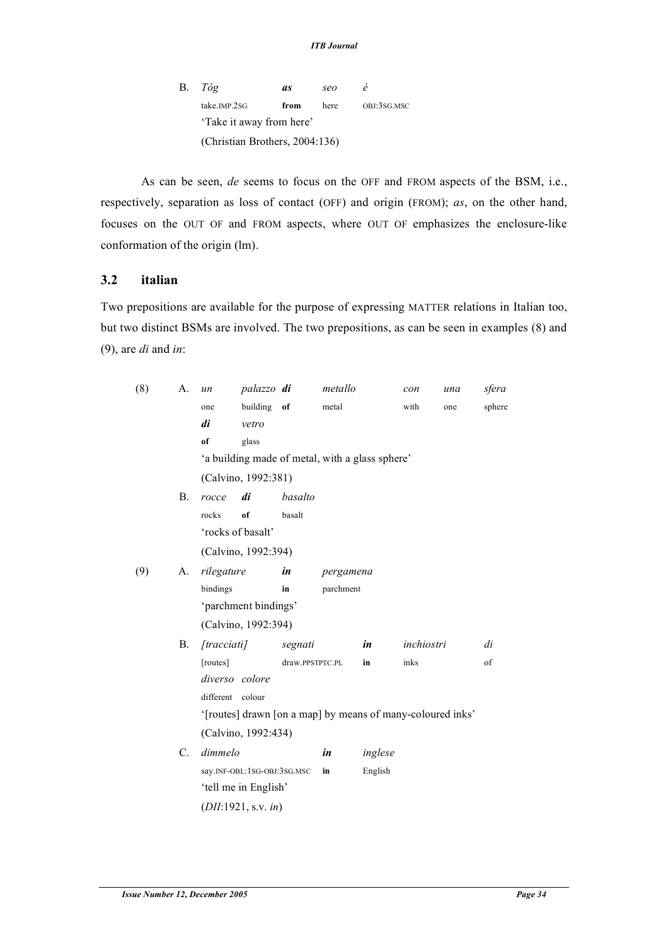B. *Tóg as seo é* take.IMP.2SG **from** here OBJ:3SG.MSC 'Take it away from here' (Christian Brothers, 2004:136)

As can be seen, *de* seems to focus on the OFF and FROM aspects of the BSM, i.e., respectively, separation as loss of contact (OFF) and origin (FROM); *as*, on the other hand, focuses on the OUT OF and FROM aspects, where OUT OF emphasizes the enclosure-like conformation of the origin (lm).

### **3.2 italian**

Two prepositions are available for the purpose of expressing MATTER relations in Italian too, but two distinct BSMs are involved. The two prepositions, as can be seen in examples (8) and (9), are *di* and *in*:

| (8) | A.             | $\iota$ <i>un</i>                                          | palazzo di          |                 | metallo   |                                                 | con        | una | sfera  |  |  |  |
|-----|----------------|------------------------------------------------------------|---------------------|-----------------|-----------|-------------------------------------------------|------------|-----|--------|--|--|--|
|     |                | one                                                        | building            | of              | metal     |                                                 | with       | one | sphere |  |  |  |
|     |                | di                                                         | vetro               |                 |           |                                                 |            |     |        |  |  |  |
|     |                | of                                                         | glass               |                 |           |                                                 |            |     |        |  |  |  |
|     |                |                                                            |                     |                 |           | 'a building made of metal, with a glass sphere' |            |     |        |  |  |  |
|     |                | (Calvino, 1992:381)                                        |                     |                 |           |                                                 |            |     |        |  |  |  |
|     | <b>B.</b>      | rocce                                                      | di                  | basalto         |           |                                                 |            |     |        |  |  |  |
|     |                | rocks                                                      | of                  | basalt          |           |                                                 |            |     |        |  |  |  |
|     |                | 'rocks of basalt'                                          |                     |                 |           |                                                 |            |     |        |  |  |  |
|     |                |                                                            | (Calvino, 1992:394) |                 |           |                                                 |            |     |        |  |  |  |
| (9) | А.             | rilegature                                                 |                     | in              | pergamena |                                                 |            |     |        |  |  |  |
|     |                | bindings                                                   |                     | in              | parchment |                                                 |            |     |        |  |  |  |
|     |                | 'parchment bindings'                                       |                     |                 |           |                                                 |            |     |        |  |  |  |
|     |                | (Calvino, 1992:394)                                        |                     |                 |           |                                                 |            |     |        |  |  |  |
|     | В.             | [frac]                                                     |                     | segnati         |           | in                                              | inchiostri |     | di     |  |  |  |
|     |                | [routes]                                                   |                     | draw.PPSTPTC.PL |           | in                                              | inks       |     | of     |  |  |  |
|     |                | diverso colore                                             |                     |                 |           |                                                 |            |     |        |  |  |  |
|     |                | different colour                                           |                     |                 |           |                                                 |            |     |        |  |  |  |
|     |                | '[routes] drawn [on a map] by means of many-coloured inks' |                     |                 |           |                                                 |            |     |        |  |  |  |
|     |                | (Calvino, 1992:434)                                        |                     |                 |           |                                                 |            |     |        |  |  |  |
|     | $\mathbf{C}$ . | dimmelo                                                    |                     |                 | in        | inglese                                         |            |     |        |  |  |  |
|     |                | say.INF-OBL:1SG-OBJ:3SG.MSC                                |                     |                 | in        | English                                         |            |     |        |  |  |  |
|     |                | 'tell me in English'                                       |                     |                 |           |                                                 |            |     |        |  |  |  |
|     |                | (DII:1921, s.v. in)                                        |                     |                 |           |                                                 |            |     |        |  |  |  |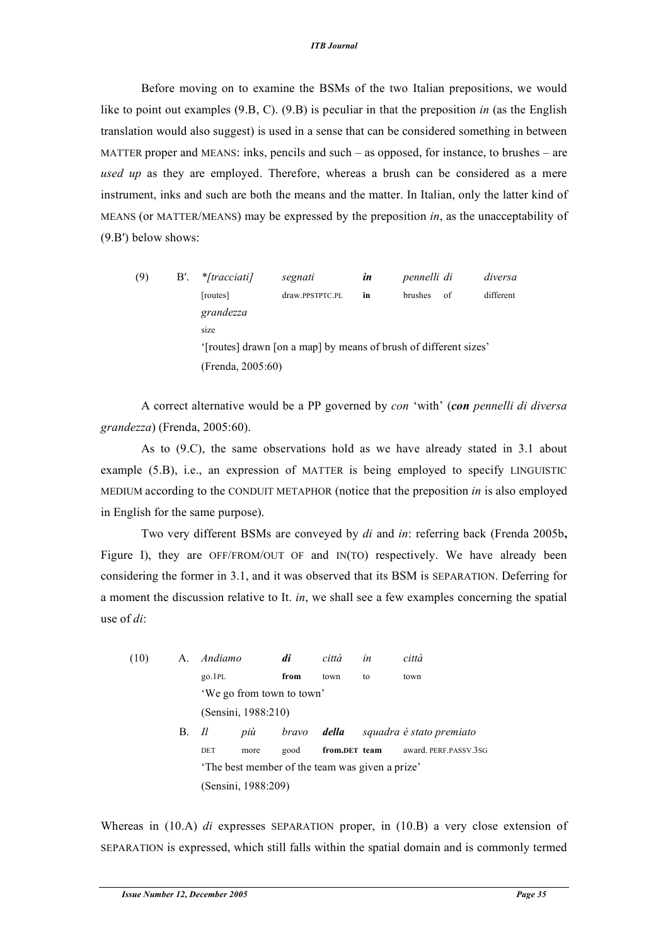#### *ITB Journal*

Before moving on to examine the BSMs of the two Italian prepositions, we would like to point out examples (9.B, C). (9.B) is peculiar in that the preposition *in* (as the English translation would also suggest) is used in a sense that can be considered something in between MATTER proper and MEANS: inks, pencils and such – as opposed, for instance, to brushes – are *used up* as they are employed. Therefore, whereas a brush can be considered as a mere instrument, inks and such are both the means and the matter. In Italian, only the latter kind of MEANS (or MATTER/MEANS) may be expressed by the preposition *in*, as the unacceptability of (9.B′) below shows:

| (9) | $B'$ . | * <i>[tracciati]</i>                                             | segnati<br>in   |    | pennelli di    |    | diversa   |  |  |  |
|-----|--------|------------------------------------------------------------------|-----------------|----|----------------|----|-----------|--|--|--|
|     |        | [routes]                                                         | draw.PPSTPTC.PL | in | <b>brushes</b> | of | different |  |  |  |
|     |        | grandezza                                                        |                 |    |                |    |           |  |  |  |
|     |        | size                                                             |                 |    |                |    |           |  |  |  |
|     |        | '[routes] drawn [on a map] by means of brush of different sizes' |                 |    |                |    |           |  |  |  |
|     |        | (Frenda, 2005:60)                                                |                 |    |                |    |           |  |  |  |

A correct alternative would be a PP governed by *con* 'with' (*con pennelli di diversa grandezza*) (Frenda, 2005:60).

As to (9.C), the same observations hold as we have already stated in 3.1 about example (5.B), i.e., an expression of MATTER is being employed to specify LINGUISTIC MEDIUM according to the CONDUIT METAPHOR (notice that the preposition *in* is also employed in English for the same purpose).

Two very different BSMs are conveyed by *di* and *in*: referring back (Frenda 2005b**,** Figure I), they are OFF/FROM/OUT OF and IN(TO) respectively. We have already been considering the former in 3.1, and it was observed that its BSM is SEPARATION. Deferring for a moment the discussion relative to It. *in*, we shall see a few examples concerning the spatial use of *di*:

| (10) | A. | Andiamo                                         |      | di    | città | in            | città                    |  |
|------|----|-------------------------------------------------|------|-------|-------|---------------|--------------------------|--|
|      |    | $g_0$ . 1PL                                     |      | from  | town  | to            | town                     |  |
|      |    | 'We go from town to town'                       |      |       |       |               |                          |  |
|      |    | (Sensini, 1988:210)                             |      |       |       |               |                          |  |
|      | B. | ll                                              | più  | bravo | della |               | squadra è stato premiato |  |
|      |    | DET                                             | more | good  |       | from.DET team | award. PERF.PASSV.3SG    |  |
|      |    | 'The best member of the team was given a prize' |      |       |       |               |                          |  |
|      |    | (Sensini, 1988:209)                             |      |       |       |               |                          |  |

Whereas in (10.A) *di* expresses SEPARATION proper, in (10.B) a very close extension of SEPARATION is expressed, which still falls within the spatial domain and is commonly termed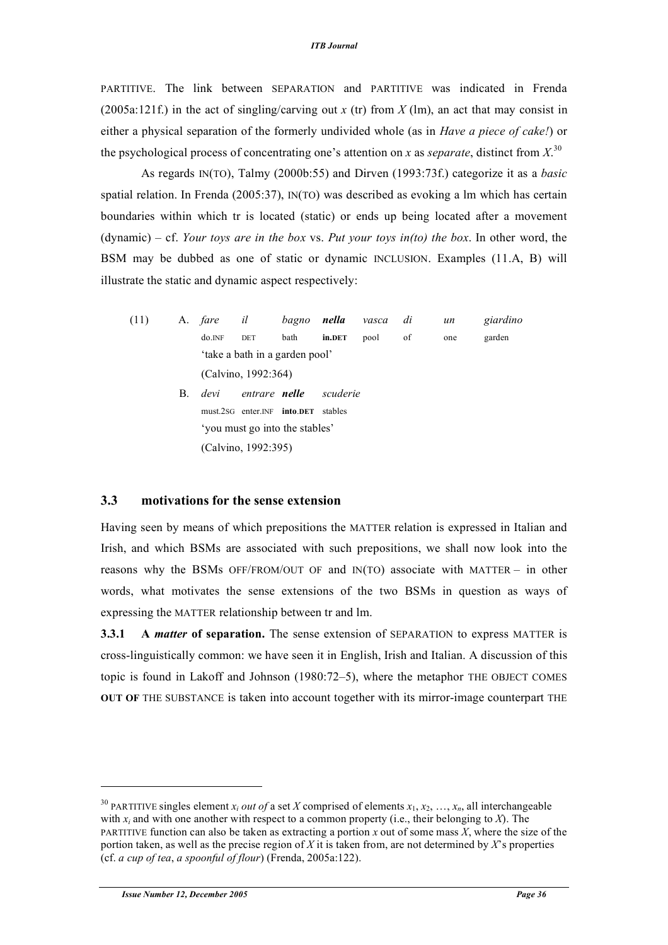PARTITIVE. The link between SEPARATION and PARTITIVE was indicated in Frenda (2005a:121f.) in the act of singling/carving out *x* (tr) from *X* (lm), an act that may consist in either a physical separation of the formerly undivided whole (as in *Have a piece of cake!*) or the psychological process of concentrating one's attention on *x* as *separate*, distinct from  $X$ <sup>30</sup>

As regards IN(TO), Talmy (2000b:55) and Dirven (1993:73f.) categorize it as a *basic* spatial relation. In Frenda (2005:37), IN(TO) was described as evoking a lm which has certain boundaries within which tr is located (static) or ends up being located after a movement (dynamic) – cf. *Your toys are in the box* vs. *Put your toys in(to) the box*. In other word, the BSM may be dubbed as one of static or dynamic INCLUSION. Examples (11.A, B) will illustrate the static and dynamic aspect respectively:

(11) A. *fare il bagno nella vasca di un giardino* do.INF DET bath **in.DET** pool of one garden 'take a bath in a garden pool' (Calvino, 1992:364) B. *devi entrare nelle scuderie* must.2SG enter.INF **into**.**DET** stables 'you must go into the stables' (Calvino, 1992:395)

#### **3.3 motivations for the sense extension**

Having seen by means of which prepositions the MATTER relation is expressed in Italian and Irish, and which BSMs are associated with such prepositions, we shall now look into the reasons why the BSMs OFF/FROM/OUT OF and IN(TO) associate with MATTER – in other words, what motivates the sense extensions of the two BSMs in question as ways of expressing the MATTER relationship between tr and lm.

**3.3.1 A** *matter* **of separation.** The sense extension of SEPARATION to express MATTER is cross-linguistically common: we have seen it in English, Irish and Italian. A discussion of this topic is found in Lakoff and Johnson (1980:72–5), where the metaphor THE OBJECT COMES **OUT OF** THE SUBSTANCE is taken into account together with its mirror-image counterpart THE

l

<sup>&</sup>lt;sup>30</sup> PARTITIVE singles element *x<sub>i</sub> out of* a set *X* comprised of elements  $x_1, x_2, ..., x_n$ , all interchangeable with  $x_i$  and with one another with respect to a common property (i.e., their belonging to  $X$ ). The PARTITIVE function can also be taken as extracting a portion *x* out of some mass *X*, where the size of the portion taken, as well as the precise region of *X* it is taken from, are not determined by *X*'s properties (cf. *a cup of tea*, *a spoonful of flour*) (Frenda, 2005a:122).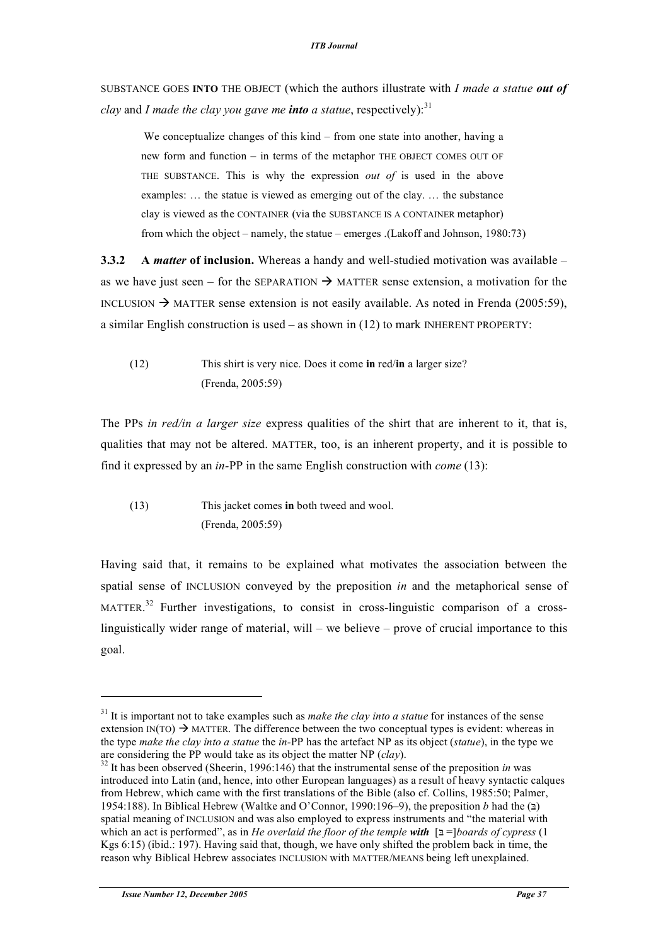SUBSTANCE GOES **INTO** THE OBJECT (which the authors illustrate with *I made a statue out of clay* and *I made the clay you gave me into a statue, respectively):*<sup>31</sup>

We conceptualize changes of this kind – from one state into another, having a new form and function – in terms of the metaphor THE OBJECT COMES OUT OF THE SUBSTANCE. This is why the expression *out of* is used in the above examples: … the statue is viewed as emerging out of the clay. … the substance clay is viewed as the CONTAINER (via the SUBSTANCE IS A CONTAINER metaphor) from which the object – namely, the statue – emerges .(Lakoff and Johnson, 1980:73)

**3.3.2 A** *matter* **of inclusion.** Whereas a handy and well-studied motivation was available – as we have just seen – for the SEPARATION  $\rightarrow$  MATTER sense extension, a motivation for the INCLUSION  $\rightarrow$  MATTER sense extension is not easily available. As noted in Frenda (2005:59), a similar English construction is used – as shown in (12) to mark INHERENT PROPERTY:

(12) This shirt is very nice. Does it come **in** red/**in** a larger size? (Frenda, 2005:59)

The PPs *in red/in a larger size* express qualities of the shirt that are inherent to it, that is, qualities that may not be altered. MATTER, too, is an inherent property, and it is possible to find it expressed by an *in-*PP in the same English construction with *come* (13):

(13) This jacket comes **in** both tweed and wool. (Frenda, 2005:59)

Having said that, it remains to be explained what motivates the association between the spatial sense of INCLUSION conveyed by the preposition *in* and the metaphorical sense of MATTER.<sup>32</sup> Further investigations, to consist in cross-linguistic comparison of a crosslinguistically wider range of material, will – we believe – prove of crucial importance to this goal.

l

<sup>31</sup> It is important not to take examples such as *make the clay into a statue* for instances of the sense extension  $IN(TO) \rightarrow MATTER$ . The difference between the two conceptual types is evident: whereas in the type *make the clay into a statue* the *in-*PP has the artefact NP as its object (*statue*), in the type we

<sup>&</sup>lt;sup>32</sup> It has been observed (Sheerin, 1996:146) that the instrumental sense of the preposition *in* was introduced into Latin (and, hence, into other European languages) as a result of heavy syntactic calques from Hebrew, which came with the first translations of the Bible (also cf. Collins, 1985:50; Palmer, 1954:188). In Biblical Hebrew (Waltke and O'Connor, 1990:196–9), the preposition *b* had the  $(2)$ spatial meaning of INCLUSION and was also employed to express instruments and "the material with which an act is performed", as in *He overlaid the floor of the temple* **with**  $\lceil 2 \rceil$ *boards* of *cypress* (1) Kgs 6:15) (ibid.: 197). Having said that, though, we have only shifted the problem back in time, the reason why Biblical Hebrew associates INCLUSION with MATTER/MEANS being left unexplained.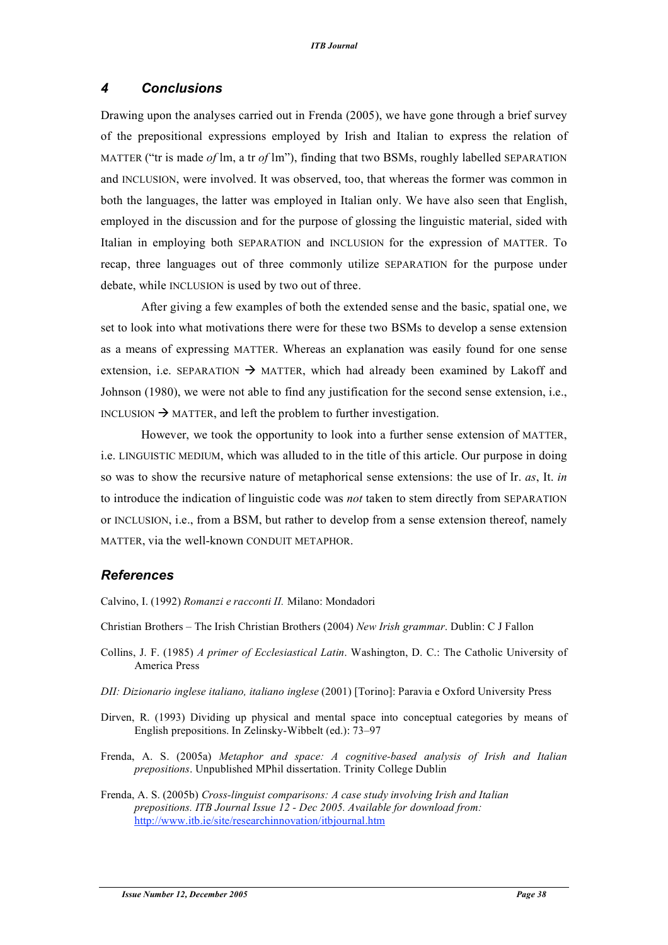#### *4 Conclusions*

Drawing upon the analyses carried out in Frenda (2005), we have gone through a brief survey of the prepositional expressions employed by Irish and Italian to express the relation of MATTER ("tr is made *of* lm, a tr *of* lm"), finding that two BSMs, roughly labelled SEPARATION and INCLUSION, were involved. It was observed, too, that whereas the former was common in both the languages, the latter was employed in Italian only. We have also seen that English, employed in the discussion and for the purpose of glossing the linguistic material, sided with Italian in employing both SEPARATION and INCLUSION for the expression of MATTER. To recap, three languages out of three commonly utilize SEPARATION for the purpose under debate, while INCLUSION is used by two out of three.

After giving a few examples of both the extended sense and the basic, spatial one, we set to look into what motivations there were for these two BSMs to develop a sense extension as a means of expressing MATTER. Whereas an explanation was easily found for one sense extension, i.e. SEPARATION  $\rightarrow$  MATTER, which had already been examined by Lakoff and Johnson (1980), we were not able to find any justification for the second sense extension, i.e., INCLUSION  $\rightarrow$  MATTER, and left the problem to further investigation.

However, we took the opportunity to look into a further sense extension of MATTER, i.e. LINGUISTIC MEDIUM, which was alluded to in the title of this article. Our purpose in doing so was to show the recursive nature of metaphorical sense extensions: the use of Ir. *as*, It. *in* to introduce the indication of linguistic code was *not* taken to stem directly from SEPARATION or INCLUSION, i.e., from a BSM, but rather to develop from a sense extension thereof, namely MATTER, via the well-known CONDUIT METAPHOR.

#### *References*

Calvino, I. (1992) *Romanzi e racconti II.* Milano: Mondadori

Christian Brothers – The Irish Christian Brothers (2004) *New Irish grammar*. Dublin: C J Fallon

- Collins, J. F. (1985) *A primer of Ecclesiastical Latin*. Washington, D. C.: The Catholic University of America Press
- *DII: Dizionario inglese italiano, italiano inglese* (2001) [Torino]: Paravia e Oxford University Press
- Dirven, R. (1993) Dividing up physical and mental space into conceptual categories by means of English prepositions. In Zelinsky-Wibbelt (ed.): 73–97
- Frenda, A. S. (2005a) *Metaphor and space: A cognitive-based analysis of Irish and Italian prepositions*. Unpublished MPhil dissertation. Trinity College Dublin
- Frenda, A. S. (2005b) *Cross-linguist comparisons: A case study involving Irish and Italian prepositions. ITB Journal Issue 12 - Dec 2005. Available for download from:* http://www.itb.ie/site/researchinnovation/itbjournal.htm